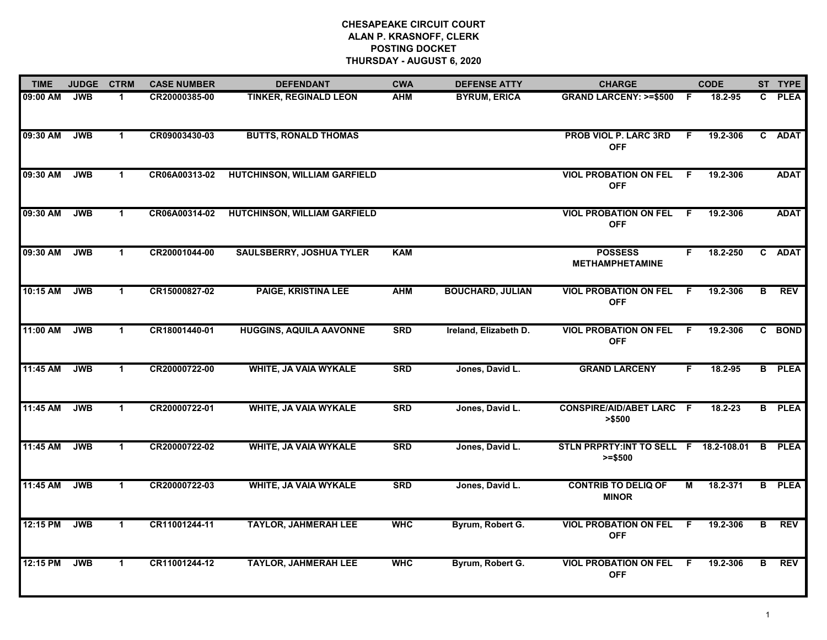| <b>TIME</b> | <b>JUDGE</b> | <b>CTRM</b>  | <b>CASE NUMBER</b> | <b>DEFENDANT</b>                    | <b>CWA</b> | <b>DEFENSE ATTY</b>     | <b>CHARGE</b>                                      |     | <b>CODE</b> |              | ST TYPE       |
|-------------|--------------|--------------|--------------------|-------------------------------------|------------|-------------------------|----------------------------------------------------|-----|-------------|--------------|---------------|
| 09:00 AM    | <b>JWB</b>   | -1           | CR20000385-00      | <b>TINKER, REGINALD LEON</b>        | <b>AHM</b> | <b>BYRUM, ERICA</b>     | <b>GRAND LARCENY: &gt;=\$500</b>                   | - F | 18.2-95     | C.           | <b>PLEA</b>   |
| 09:30 AM    | <b>JWB</b>   | $\mathbf{1}$ | CR09003430-03      | <b>BUTTS, RONALD THOMAS</b>         |            |                         | <b>PROB VIOL P. LARC 3RD</b><br><b>OFF</b>         | F   | 19.2-306    | $\mathbf{c}$ | <b>ADAT</b>   |
| 09:30 AM    | <b>JWB</b>   | $\mathbf 1$  | CR06A00313-02      | <b>HUTCHINSON, WILLIAM GARFIELD</b> |            |                         | <b>VIOL PROBATION ON FEL</b><br><b>OFF</b>         | F   | 19.2-306    |              | <b>ADAT</b>   |
| 09:30 AM    | <b>JWB</b>   | $\mathbf 1$  | CR06A00314-02      | <b>HUTCHINSON, WILLIAM GARFIELD</b> |            |                         | <b>VIOL PROBATION ON FEL</b><br><b>OFF</b>         | -F  | 19.2-306    |              | <b>ADAT</b>   |
| 09:30 AM    | <b>JWB</b>   | $\mathbf 1$  | CR20001044-00      | <b>SAULSBERRY, JOSHUA TYLER</b>     | <b>KAM</b> |                         | <b>POSSESS</b><br><b>METHAMPHETAMINE</b>           | F.  | 18.2-250    |              | C ADAT        |
| 10:15 AM    | <b>JWB</b>   | $\mathbf 1$  | CR15000827-02      | <b>PAIGE, KRISTINA LEE</b>          | <b>AHM</b> | <b>BOUCHARD, JULIAN</b> | <b>VIOL PROBATION ON FEL</b><br><b>OFF</b>         | .F  | 19.2-306    | B.           | <b>REV</b>    |
| 11:00 AM    | <b>JWB</b>   | $\mathbf 1$  | CR18001440-01      | <b>HUGGINS, AQUILA AAVONNE</b>      | <b>SRD</b> | Ireland, Elizabeth D.   | <b>VIOL PROBATION ON FEL</b><br><b>OFF</b>         | F.  | 19.2-306    |              | C BOND        |
| 11:45 AM    | <b>JWB</b>   | $\mathbf{1}$ | CR20000722-00      | <b>WHITE, JA VAIA WYKALE</b>        | <b>SRD</b> | Jones, David L.         | <b>GRAND LARCENY</b>                               | F   | 18.2-95     |              | <b>B</b> PLEA |
| 11:45 AM    | <b>JWB</b>   | 1            | CR20000722-01      | <b>WHITE, JA VAIA WYKALE</b>        | <b>SRD</b> | Jones, David L.         | <b>CONSPIRE/AID/ABET LARC</b><br>> \$500           | - F | 18.2-23     |              | <b>B</b> PLEA |
| 11:45 AM    | <b>JWB</b>   | $\mathbf 1$  | CR20000722-02      | <b>WHITE, JA VAIA WYKALE</b>        | <b>SRD</b> | Jones, David L.         | STLN PRPRTY:INT TO SELL F 18.2-108.01<br>$>= $500$ |     |             | B            | <b>PLEA</b>   |
| 11:45 AM    | <b>JWB</b>   | $\mathbf 1$  | CR20000722-03      | <b>WHITE, JA VAIA WYKALE</b>        | <b>SRD</b> | Jones, David L.         | <b>CONTRIB TO DELIQ OF</b><br><b>MINOR</b>         | М   | 18.2-371    | B.           | <b>PLEA</b>   |
| 12:15 PM    | <b>JWB</b>   | $\mathbf 1$  | CR11001244-11      | <b>TAYLOR, JAHMERAH LEE</b>         | <b>WHC</b> | Byrum, Robert G.        | <b>VIOL PROBATION ON FEL</b><br><b>OFF</b>         | F.  | 19.2-306    | B            | <b>REV</b>    |
| 12:15 PM    | <b>JWB</b>   | $\mathbf{1}$ | CR11001244-12      | <b>TAYLOR, JAHMERAH LEE</b>         | <b>WHC</b> | Byrum, Robert G.        | <b>VIOL PROBATION ON FEL</b><br><b>OFF</b>         | -F  | 19.2-306    | в            | <b>REV</b>    |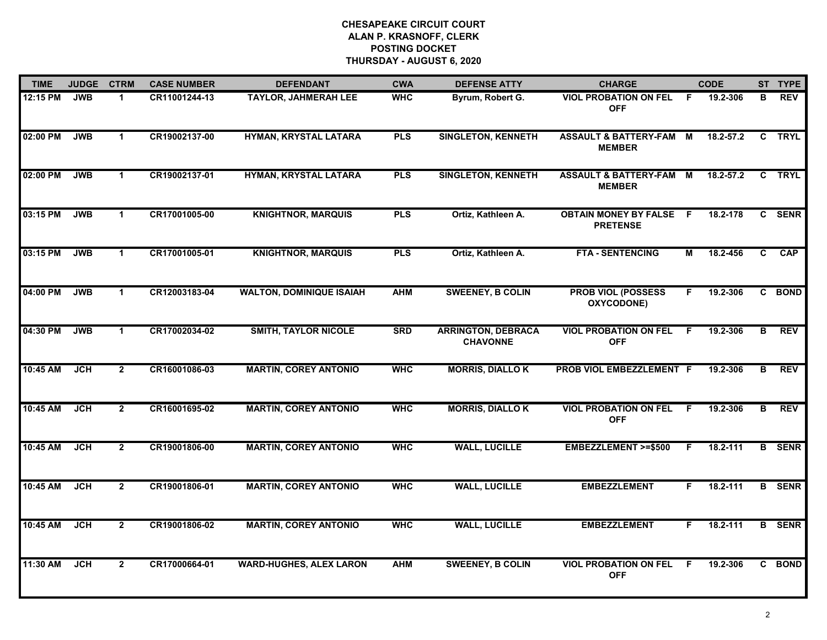| <b>TIME</b> | <b>JUDGE</b> | <b>CTRM</b>    | <b>CASE NUMBER</b> | <b>DEFENDANT</b>                | <b>CWA</b> | <b>DEFENSE ATTY</b>                          | <b>CHARGE</b>                                       |     | <b>CODE</b> |              | ST TYPE       |
|-------------|--------------|----------------|--------------------|---------------------------------|------------|----------------------------------------------|-----------------------------------------------------|-----|-------------|--------------|---------------|
| 12:15 PM    | <b>JWB</b>   | $\mathbf{1}$   | CR11001244-13      | <b>TAYLOR, JAHMERAH LEE</b>     | <b>WHC</b> | Byrum, Robert G.                             | <b>VIOL PROBATION ON FEL</b><br><b>OFF</b>          | F.  | 19.2-306    | В            | <b>REV</b>    |
| 02:00 PM    | <b>JWB</b>   | $\mathbf{1}$   | CR19002137-00      | HYMAN, KRYSTAL LATARA           | <b>PLS</b> | <b>SINGLETON, KENNETH</b>                    | <b>ASSAULT &amp; BATTERY-FAM M</b><br><b>MEMBER</b> |     | 18.2-57.2   | $\mathbf{C}$ | TRYL          |
| 02:00 PM    | <b>JWB</b>   | $\mathbf{1}$   | CR19002137-01      | HYMAN, KRYSTAL LATARA           | <b>PLS</b> | <b>SINGLETON, KENNETH</b>                    | <b>ASSAULT &amp; BATTERY-FAM</b><br><b>MEMBER</b>   | M   | 18.2-57.2   | $\mathbf{c}$ | <b>TRYL</b>   |
| 03:15 PM    | <b>JWB</b>   | $\mathbf{1}$   | CR17001005-00      | <b>KNIGHTNOR, MARQUIS</b>       | <b>PLS</b> | Ortiz, Kathleen A.                           | <b>OBTAIN MONEY BY FALSE</b><br><b>PRETENSE</b>     | - F | 18.2-178    | $\mathbf{c}$ | <b>SENR</b>   |
| 03:15 PM    | <b>JWB</b>   | $\mathbf 1$    | CR17001005-01      | <b>KNIGHTNOR, MARQUIS</b>       | <b>PLS</b> | Ortiz, Kathleen A.                           | <b>FTA - SENTENCING</b>                             | М   | 18.2-456    | C.           | CAP           |
| 04:00 PM    | <b>JWB</b>   | $\mathbf{1}$   | CR12003183-04      | <b>WALTON, DOMINIQUE ISAIAH</b> | <b>AHM</b> | <b>SWEENEY, B COLIN</b>                      | <b>PROB VIOL (POSSESS)</b><br>OXYCODONE)            | F.  | 19.2-306    |              | C BOND        |
| 04:30 PM    | <b>JWB</b>   | $\mathbf{1}$   | CR17002034-02      | <b>SMITH, TAYLOR NICOLE</b>     | <b>SRD</b> | <b>ARRINGTON, DEBRACA</b><br><b>CHAVONNE</b> | <b>VIOL PROBATION ON FEL</b><br><b>OFF</b>          | F.  | 19.2-306    | В            | <b>REV</b>    |
| 10:45 AM    | <b>JCH</b>   | $2^{\circ}$    | CR16001086-03      | <b>MARTIN, COREY ANTONIO</b>    | <b>WHC</b> | <b>MORRIS, DIALLO K</b>                      | PROB VIOL EMBEZZLEMENT F                            |     | 19.2-306    | B            | <b>REV</b>    |
| 10:45 AM    | <b>JCH</b>   | $\overline{2}$ | CR16001695-02      | <b>MARTIN, COREY ANTONIO</b>    | <b>WHC</b> | <b>MORRIS, DIALLOK</b>                       | <b>VIOL PROBATION ON FEL</b><br><b>OFF</b>          | F.  | 19.2-306    | В            | <b>REV</b>    |
| 10:45 AM    | <b>JCH</b>   | $\overline{2}$ | CR19001806-00      | <b>MARTIN, COREY ANTONIO</b>    | <b>WHC</b> | <b>WALL, LUCILLE</b>                         | <b>EMBEZZLEMENT &gt;=\$500</b>                      | F.  | 18.2-111    |              | <b>B</b> SENR |
| 10:45 AM    | <b>JCH</b>   | $\overline{2}$ | CR19001806-01      | <b>MARTIN, COREY ANTONIO</b>    | <b>WHC</b> | <b>WALL, LUCILLE</b>                         | <b>EMBEZZLEMENT</b>                                 | F.  | 18.2-111    |              | <b>B</b> SENR |
| 10:45 AM    | JCH          | $\overline{2}$ | CR19001806-02      | <b>MARTIN, COREY ANTONIO</b>    | <b>WHC</b> | <b>WALL, LUCILLE</b>                         | <b>EMBEZZLEMENT</b>                                 | F.  | 18.2-111    |              | <b>B</b> SENR |
| 11:30 AM    | <b>JCH</b>   | $\overline{2}$ | CR17000664-01      | <b>WARD-HUGHES, ALEX LARON</b>  | <b>AHM</b> | <b>SWEENEY, B COLIN</b>                      | <b>VIOL PROBATION ON FEL</b><br><b>OFF</b>          | E   | 19.2-306    |              | C BOND        |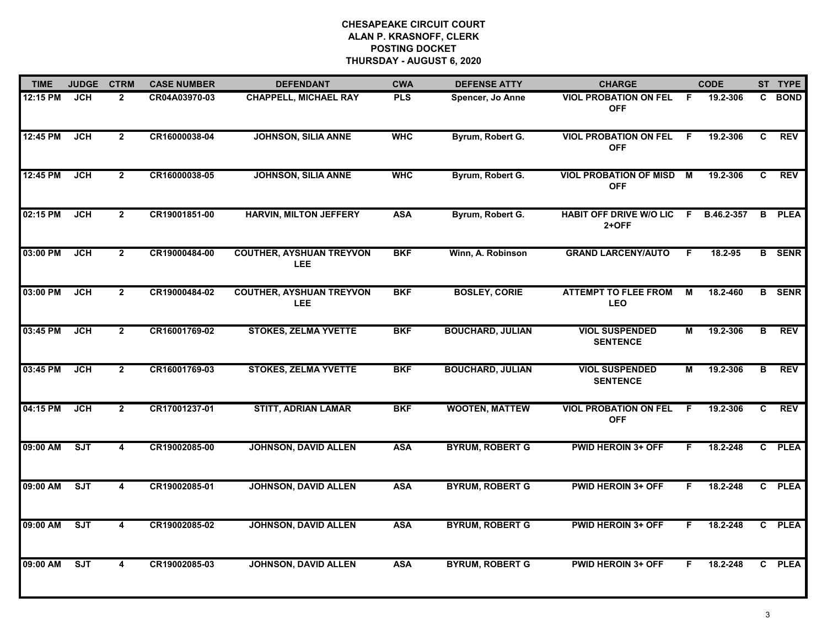| <b>TIME</b> | <b>JUDGE</b> | <b>CTRM</b>             | <b>CASE NUMBER</b> | <b>DEFENDANT</b>                              | <b>CWA</b> | <b>DEFENSE ATTY</b>     | <b>CHARGE</b>                               |                         | <b>CODE</b> |              | ST TYPE       |
|-------------|--------------|-------------------------|--------------------|-----------------------------------------------|------------|-------------------------|---------------------------------------------|-------------------------|-------------|--------------|---------------|
| 12:15 PM    | <b>JCH</b>   | $\overline{2}$          | CR04A03970-03      | <b>CHAPPELL, MICHAEL RAY</b>                  | <b>PLS</b> | Spencer, Jo Anne        | <b>VIOL PROBATION ON FEL</b><br><b>OFF</b>  | F.                      | 19.2-306    | C.           | <b>BOND</b>   |
| 12:45 PM    | <b>JCH</b>   | $\overline{2}$          | CR16000038-04      | <b>JOHNSON, SILIA ANNE</b>                    | <b>WHC</b> | Byrum, Robert G.        | <b>VIOL PROBATION ON FEL</b><br><b>OFF</b>  | -F.                     | 19.2-306    | C.           | <b>REV</b>    |
| 12:45 PM    | <b>JCH</b>   | $\overline{2}$          | CR16000038-05      | <b>JOHNSON, SILIA ANNE</b>                    | <b>WHC</b> | Byrum, Robert G.        | <b>VIOL PROBATION OF MISD</b><br><b>OFF</b> | $\overline{\mathsf{M}}$ | 19.2-306    | C.           | <b>REV</b>    |
| 02:15 PM    | <b>JCH</b>   | $\overline{2}$          | CR19001851-00      | <b>HARVIN, MILTON JEFFERY</b>                 | <b>ASA</b> | Byrum, Robert G.        | <b>HABIT OFF DRIVE W/O LIC</b><br>$2+OFF$   | F.                      | B.46.2-357  | В            | <b>PLEA</b>   |
| 03:00 PM    | <b>JCH</b>   | $\overline{2}$          | CR19000484-00      | <b>COUTHER, AYSHUAN TREYVON</b><br><b>LEE</b> | <b>BKF</b> | Winn, A. Robinson       | <b>GRAND LARCENY/AUTO</b>                   | F.                      | 18.2-95     |              | <b>B</b> SENR |
| 03:00 PM    | <b>JCH</b>   | $\mathbf{2}$            | CR19000484-02      | <b>COUTHER, AYSHUAN TREYVON</b><br><b>LEE</b> | <b>BKF</b> | <b>BOSLEY, CORIE</b>    | <b>ATTEMPT TO FLEE FROM</b><br><b>LEO</b>   | М                       | 18.2-460    |              | <b>B</b> SENR |
| 03:45 PM    | <b>JCH</b>   | $\overline{2}$          | CR16001769-02      | <b>STOKES, ZELMA YVETTE</b>                   | <b>BKF</b> | <b>BOUCHARD, JULIAN</b> | <b>VIOL SUSPENDED</b><br><b>SENTENCE</b>    | M                       | 19.2-306    | В            | <b>REV</b>    |
| 03:45 PM    | <b>JCH</b>   | $\overline{2}$          | CR16001769-03      | <b>STOKES, ZELMA YVETTE</b>                   | <b>BKF</b> | <b>BOUCHARD, JULIAN</b> | <b>VIOL SUSPENDED</b><br><b>SENTENCE</b>    | М                       | 19.2-306    | В            | <b>REV</b>    |
| 04:15 PM    | JCH          | $\overline{2}$          | CR17001237-01      | <b>STITT, ADRIAN LAMAR</b>                    | <b>BKF</b> | <b>WOOTEN, MATTEW</b>   | <b>VIOL PROBATION ON FEL</b><br><b>OFF</b>  | F                       | 19.2-306    | C            | <b>REV</b>    |
| 09:00 AM    | ST           | 4                       | CR19002085-00      | <b>JOHNSON, DAVID ALLEN</b>                   | <b>ASA</b> | <b>BYRUM, ROBERT G</b>  | <b>PWID HEROIN 3+ OFF</b>                   | F.                      | 18.2-248    | $\mathbf{c}$ | <b>PLEA</b>   |
| 09:00 AM    | ST           | 4                       | CR19002085-01      | <b>JOHNSON, DAVID ALLEN</b>                   | <b>ASA</b> | <b>BYRUM, ROBERT G</b>  | <b>PWID HEROIN 3+ OFF</b>                   | F.                      | 18.2-248    | $\mathbf{c}$ | <b>PLEA</b>   |
| 09:00 AM    | ST           | $\overline{\mathbf{4}}$ | CR19002085-02      | <b>JOHNSON, DAVID ALLEN</b>                   | <b>ASA</b> | <b>BYRUM, ROBERT G</b>  | <b>PWID HEROIN 3+ OFF</b>                   | F.                      | 18.2-248    | C.           | <b>PLEA</b>   |
| 09:00 AM    | ST           | $\overline{\mathbf{4}}$ | CR19002085-03      | <b>JOHNSON, DAVID ALLEN</b>                   | <b>ASA</b> | <b>BYRUM, ROBERT G</b>  | <b>PWID HEROIN 3+ OFF</b>                   | F                       | 18.2-248    |              | C PLEA        |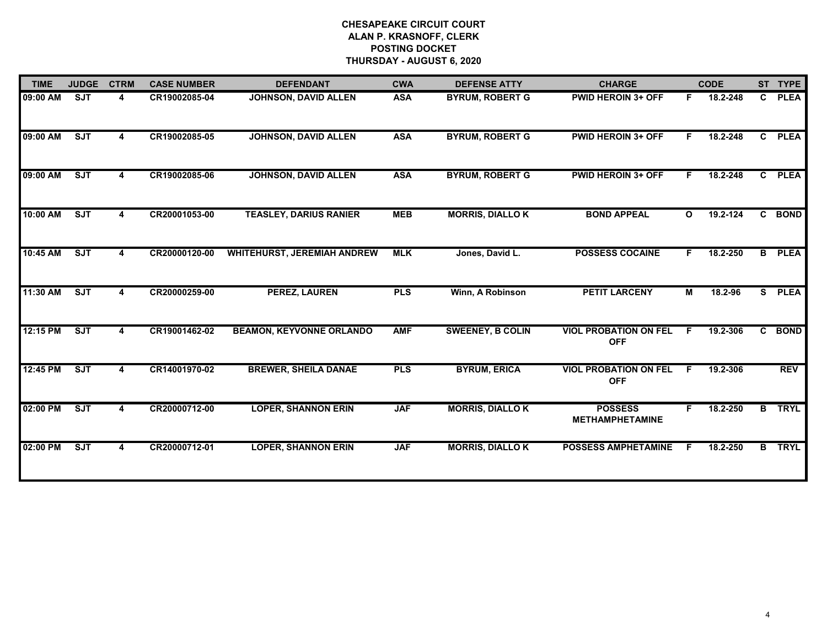| <b>TIME</b> | <b>JUDGE</b>            | <b>CTRM</b> | <b>CASE NUMBER</b> | <b>DEFENDANT</b>                   | <b>CWA</b> | <b>DEFENSE ATTY</b>     | <b>CHARGE</b>                              |              | <b>CODE</b> |              | ST TYPE       |
|-------------|-------------------------|-------------|--------------------|------------------------------------|------------|-------------------------|--------------------------------------------|--------------|-------------|--------------|---------------|
| 09:00 AM    | <b>SJT</b>              | 4           | CR19002085-04      | JOHNSON, DAVID ALLEN               | <b>ASA</b> | <b>BYRUM, ROBERT G</b>  | <b>PWID HEROIN 3+ OFF</b>                  | F.           | 18.2-248    | $\mathbf{c}$ | <b>PLEA</b>   |
| 09:00 AM    | <b>SJT</b>              | 4           | CR19002085-05      | <b>JOHNSON, DAVID ALLEN</b>        | <b>ASA</b> | <b>BYRUM, ROBERT G</b>  | <b>PWID HEROIN 3+ OFF</b>                  | F.           | 18.2-248    |              | C PLEA        |
| 09:00 AM    | $\overline{\text{SJT}}$ | 4           | CR19002085-06      | <b>JOHNSON, DAVID ALLEN</b>        | <b>ASA</b> | <b>BYRUM, ROBERT G</b>  | <b>PWID HEROIN 3+ OFF</b>                  | F.           | 18.2-248    | $\mathbf{c}$ | <b>PLEA</b>   |
| 10:00 AM    | SJT                     | 4           | CR20001053-00      | <b>TEASLEY, DARIUS RANIER</b>      | <b>MEB</b> | <b>MORRIS, DIALLOK</b>  | <b>BOND APPEAL</b>                         | $\mathbf{o}$ | 19.2-124    |              | C BOND        |
| 10:45 AM    | SJT                     |             | CR20000120-00      | <b>WHITEHURST, JEREMIAH ANDREW</b> | <b>MLK</b> | Jones, David L.         | <b>POSSESS COCAINE</b>                     | F.           | 18.2-250    |              | <b>B</b> PLEA |
| 11:30 AM    | <b>SJT</b>              | 4           | CR20000259-00      | <b>PEREZ, LAUREN</b>               | <b>PLS</b> | Winn, A Robinson        | <b>PETIT LARCENY</b>                       | М            | 18.2-96     |              | S PLEA        |
| 12:15 PM    | <b>SJT</b>              |             | CR19001462-02      | <b>BEAMON, KEYVONNE ORLANDO</b>    | <b>AMF</b> | <b>SWEENEY, B COLIN</b> | <b>VIOL PROBATION ON FEL</b><br><b>OFF</b> | F            | 19.2-306    |              | C BOND        |
| 12:45 PM    | $\overline{\text{SJT}}$ | 4           | CR14001970-02      | <b>BREWER, SHEILA DANAE</b>        | PLS        | <b>BYRUM, ERICA</b>     | <b>VIOL PROBATION ON FEL</b><br><b>OFF</b> | F.           | 19.2-306    |              | <b>REV</b>    |
| 02:00 PM    | SJT                     | 4           | CR20000712-00      | <b>LOPER, SHANNON ERIN</b>         | <b>JAF</b> | <b>MORRIS, DIALLO K</b> | <b>POSSESS</b><br><b>METHAMPHETAMINE</b>   | F.           | 18.2-250    |              | <b>B</b> TRYL |
| 02:00 PM    | ST                      | 4           | CR20000712-01      | <b>LOPER, SHANNON ERIN</b>         | <b>JAF</b> | <b>MORRIS, DIALLO K</b> | <b>POSSESS AMPHETAMINE</b>                 | E            | 18.2-250    | B.           | <b>TRYL</b>   |